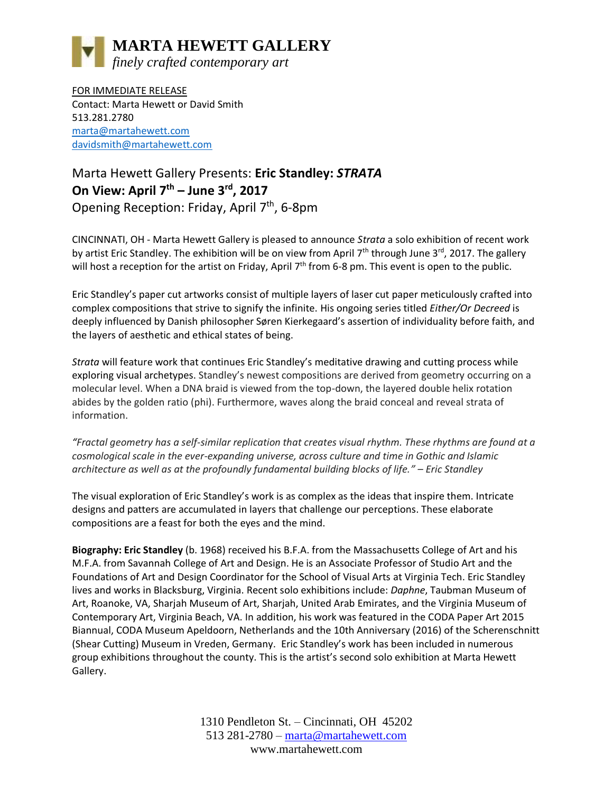

FOR IMMEDIATE RELEASE Contact: Marta Hewett or David Smith 513.281.2780 [marta@martahewett.com](mailto:marta@martahewett.com) [davidsmith@martahewett.com](mailto:davidsmith@martahewett.com)

## Marta Hewett Gallery Presents: **Eric Standley:** *STRATA* **On View: April 7th – June 3rd, 2017** Opening Reception: Friday, April 7<sup>th</sup>, 6-8pm

CINCINNATI, OH - Marta Hewett Gallery is pleased to announce *Strata* a solo exhibition of recent work by artist Eric Standley. The exhibition will be on view from April 7<sup>th</sup> through June 3<sup>rd</sup>, 2017. The gallery will host a reception for the artist on Friday, April  $7<sup>th</sup>$  from 6-8 pm. This event is open to the public.

Eric Standley's paper cut artworks consist of multiple layers of laser cut paper meticulously crafted into complex compositions that strive to signify the infinite. His ongoing series titled *Either/Or Decreed* is deeply influenced by Danish philosopher Søren Kierkegaard's assertion of individuality before faith, and the layers of aesthetic and ethical states of being.

*Strata* will feature work that continues Eric Standley's meditative drawing and cutting process while exploring visual archetypes. Standley's newest compositions are derived from geometry occurring on a molecular level. When a DNA braid is viewed from the top-down, the layered double helix rotation abides by the golden ratio (phi). Furthermore, waves along the braid conceal and reveal strata of information.

*"Fractal geometry has a self-similar replication that creates visual rhythm. These rhythms are found at a cosmological scale in the ever-expanding universe, across culture and time in Gothic and Islamic architecture as well as at the profoundly fundamental building blocks of life." – Eric Standley*

The visual exploration of Eric Standley's work is as complex as the ideas that inspire them. Intricate designs and patters are accumulated in layers that challenge our perceptions. These elaborate compositions are a feast for both the eyes and the mind.

**Biography: Eric Standley** (b. 1968) received his B.F.A. from the Massachusetts College of Art and his M.F.A. from Savannah College of Art and Design. He is an Associate Professor of Studio Art and the Foundations of Art and Design Coordinator for the School of Visual Arts at Virginia Tech. Eric Standley lives and works in Blacksburg, Virginia. Recent solo exhibitions include: *Daphne*, Taubman Museum of Art, Roanoke, VA, Sharjah Museum of Art, Sharjah, United Arab Emirates, and the Virginia Museum of Contemporary Art, Virginia Beach, VA. In addition, his work was featured in the CODA Paper Art 2015 Biannual, CODA Museum Apeldoorn, Netherlands and the 10th Anniversary (2016) of the Scherenschnitt (Shear Cutting) Museum in Vreden, Germany. Eric Standley's work has been included in numerous group exhibitions throughout the county. This is the artist's second solo exhibition at Marta Hewett Gallery.

> 1310 Pendleton St. – Cincinnati, OH 45202 513 281-2780 – [marta@martahewett.com](mailto:marta@martahewett.com) www.martahewett.com